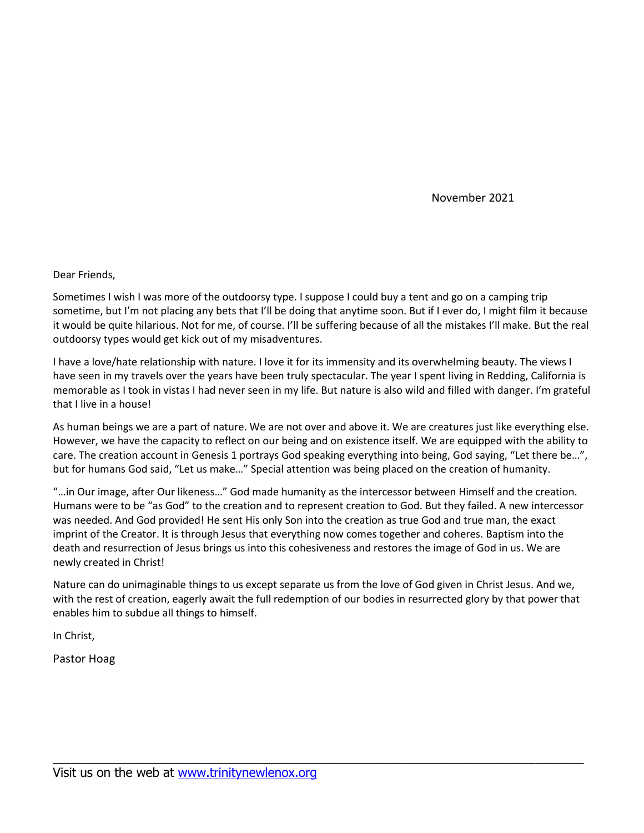November 2021

Dear Friends,

Sometimes I wish I was more of the outdoorsy type. I suppose I could buy a tent and go on a camping trip sometime, but I'm not placing any bets that I'll be doing that anytime soon. But if I ever do, I might film it because it would be quite hilarious. Not for me, of course. I'll be suffering because of all the mistakes I'll make. But the real outdoorsy types would get kick out of my misadventures.

I have a love/hate relationship with nature. I love it for its immensity and its overwhelming beauty. The views I have seen in my travels over the years have been truly spectacular. The year I spent living in Redding, California is memorable as I took in vistas I had never seen in my life. But nature is also wild and filled with danger. I'm grateful that I live in a house!

As human beings we are a part of nature. We are not over and above it. We are creatures just like everything else. However, we have the capacity to reflect on our being and on existence itself. We are equipped with the ability to care. The creation account in Genesis 1 portrays God speaking everything into being, God saying, "Let there be…", but for humans God said, "Let us make…" Special attention was being placed on the creation of humanity.

"…in Our image, after Our likeness…" God made humanity as the intercessor between Himself and the creation. Humans were to be "as God" to the creation and to represent creation to God. But they failed. A new intercessor was needed. And God provided! He sent His only Son into the creation as true God and true man, the exact imprint of the Creator. It is through Jesus that everything now comes together and coheres. Baptism into the death and resurrection of Jesus brings us into this cohesiveness and restores the image of God in us. We are newly created in Christ!

Nature can do unimaginable things to us except separate us from the love of God given in Christ Jesus. And we, with the rest of creation, eagerly await the full redemption of our bodies in resurrected glory by that power that enables him to subdue all things to himself.

\_\_\_\_\_\_\_\_\_\_\_\_\_\_\_\_\_\_\_\_\_\_\_\_\_\_\_\_\_\_\_\_\_\_\_\_\_\_\_\_\_\_\_\_\_\_\_\_\_\_\_\_\_\_\_\_\_\_\_\_\_\_\_\_\_\_\_\_\_\_\_\_\_\_\_\_\_

In Christ,

Pastor Hoag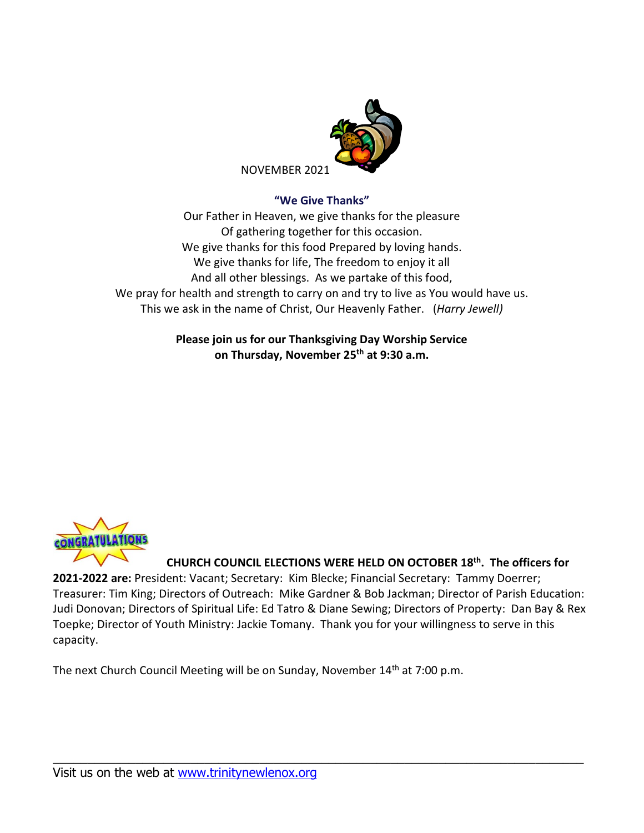

#### **"We Give Thanks"**

Our Father in Heaven, we give thanks for the pleasure Of gathering together for this occasion. We give thanks for this food Prepared by loving hands. We give thanks for life, The freedom to enjoy it all And all other blessings. As we partake of this food, We pray for health and strength to carry on and try to live as You would have us. This we ask in the name of Christ, Our Heavenly Father. (*Harry Jewell)*

> **Please join us for our Thanksgiving Day Worship Service on Thursday, November 25 th at 9:30 a.m.**



**CHURCH COUNCIL ELECTIONS WERE HELD ON OCTOBER 18 th . The officers for** 

**2021-2022 are:** President: Vacant; Secretary: Kim Blecke; Financial Secretary: Tammy Doerrer; Treasurer: Tim King; Directors of Outreach: Mike Gardner & Bob Jackman; Director of Parish Education: Judi Donovan; Directors of Spiritual Life: Ed Tatro & Diane Sewing; Directors of Property: Dan Bay & Rex Toepke; Director of Youth Ministry: Jackie Tomany. Thank you for your willingness to serve in this capacity.

\_\_\_\_\_\_\_\_\_\_\_\_\_\_\_\_\_\_\_\_\_\_\_\_\_\_\_\_\_\_\_\_\_\_\_\_\_\_\_\_\_\_\_\_\_\_\_\_\_\_\_\_\_\_\_\_\_\_\_\_\_\_\_\_\_\_\_\_\_\_\_\_\_\_\_\_\_

The next Church Council Meeting will be on Sunday, November 14<sup>th</sup> at 7:00 p.m.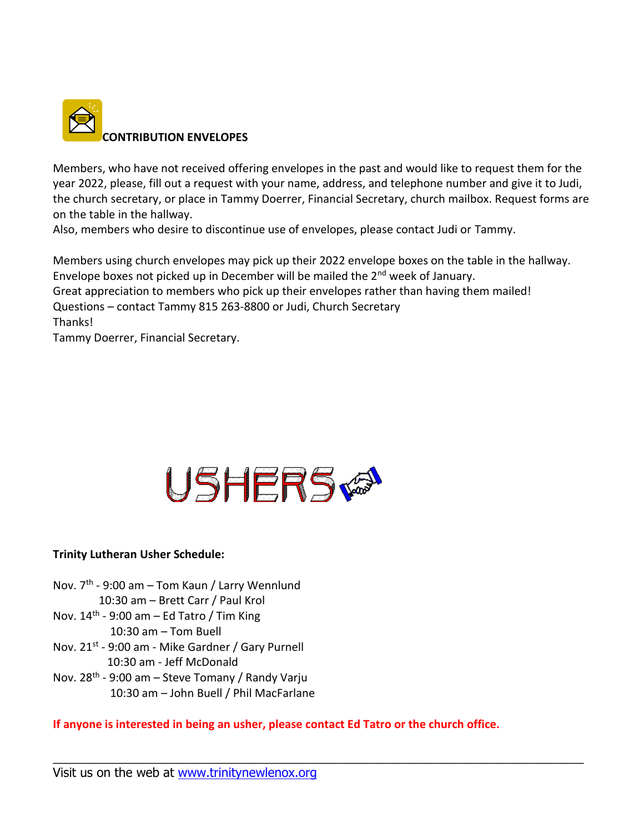

Members, who have not received offering envelopes in the past and would like to request them for the year 2022, please, fill out a request with your name, address, and telephone number and give it to Judi, the church secretary, or place in Tammy Doerrer, Financial Secretary, church mailbox. Request forms are on the table in the hallway.

Also, members who desire to discontinue use of envelopes, please contact Judi or Tammy.

Members using church envelopes may pick up their 2022 envelope boxes on the table in the hallway. Envelope boxes not picked up in December will be mailed the 2nd week of January.

Great appreciation to members who pick up their envelopes rather than having them mailed!

Questions – contact Tammy 815 263-8800 or Judi, Church Secretary

Thanks!

Tammy Doerrer, Financial Secretary.



## **Trinity Lutheran Usher Schedule:**

Nov. 7<sup>th</sup> - 9:00 am – Tom Kaun / Larry Wennlund 10:30 am – Brett Carr / Paul Krol Nov. 14<sup>th</sup> - 9:00 am – Ed Tatro / Tim King 10:30 am – Tom Buell Nov. 21<sup>st</sup> - 9:00 am - Mike Gardner / Gary Purnell 10:30 am - Jeff McDonald Nov. 28<sup>th</sup> - 9:00 am – Steve Tomany / Randy Varju 10:30 am – John Buell / Phil MacFarlane

**If anyone is interested in being an usher, please contact Ed Tatro or the church office.**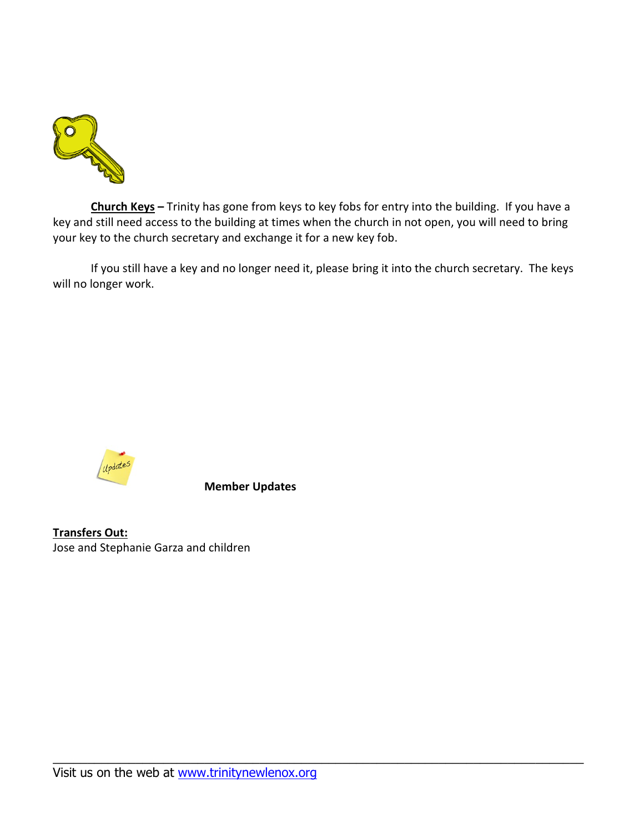

**Church Keys –** Trinity has gone from keys to key fobs for entry into the building. If you have a key and still need access to the building at times when the church in not open, you will need to bring your key to the church secretary and exchange it for a new key fob.

If you still have a key and no longer need it, please bring it into the church secretary. The keys will no longer work.

\_\_\_\_\_\_\_\_\_\_\_\_\_\_\_\_\_\_\_\_\_\_\_\_\_\_\_\_\_\_\_\_\_\_\_\_\_\_\_\_\_\_\_\_\_\_\_\_\_\_\_\_\_\_\_\_\_\_\_\_\_\_\_\_\_\_\_\_\_\_\_\_\_\_\_\_\_



**Member Updates**

**Transfers Out:** Jose and Stephanie Garza and children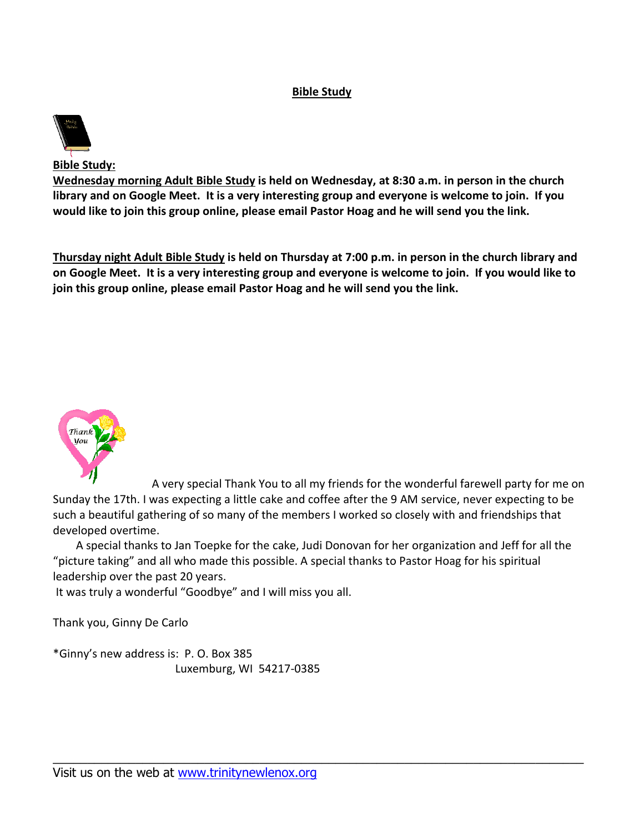## **Bible Study**



**Bible Study:**

**Wednesday morning Adult Bible Study is held on Wednesday, at 8:30 a.m. in person in the church library and on Google Meet. It is a very interesting group and everyone is welcome to join. If you would like to join this group online, please email Pastor Hoag and he will send you the link.**

**Thursday night Adult Bible Study is held on Thursday at 7:00 p.m. in person in the church library and on Google Meet. It is a very interesting group and everyone is welcome to join. If you would like to join this group online, please email Pastor Hoag and he will send you the link.**



A very special Thank You to all my friends for the wonderful farewell party for me on Sunday the 17th. I was expecting a little cake and coffee after the 9 AM service, never expecting to be such a beautiful gathering of so many of the members I worked so closely with and friendships that developed overtime.

A special thanks to Jan Toepke for the cake, Judi Donovan for her organization and Jeff for all the "picture taking" and all who made this possible. A special thanks to Pastor Hoag for his spiritual leadership over the past 20 years.

\_\_\_\_\_\_\_\_\_\_\_\_\_\_\_\_\_\_\_\_\_\_\_\_\_\_\_\_\_\_\_\_\_\_\_\_\_\_\_\_\_\_\_\_\_\_\_\_\_\_\_\_\_\_\_\_\_\_\_\_\_\_\_\_\_\_\_\_\_\_\_\_\_\_\_\_\_

It was truly a wonderful "Goodbye" and I will miss you all.

Thank you, Ginny De Carlo

\*Ginny's new address is: P. O. Box 385 Luxemburg, WI 54217-0385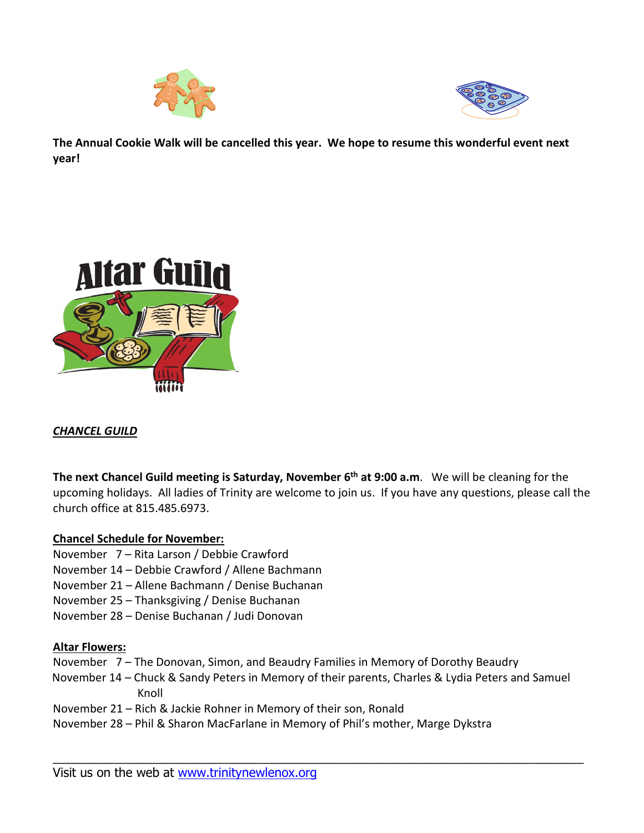



**The Annual Cookie Walk will be cancelled this year. We hope to resume this wonderful event next year!**



# *CHANCEL GUILD*

**The next Chancel Guild meeting is Saturday, November 6 th at 9:00 a.m**. We will be cleaning for the upcoming holidays. All ladies of Trinity are welcome to join us. If you have any questions, please call the church office at 815.485.6973.

## **Chancel Schedule for November:**

- November 7 Rita Larson / Debbie Crawford
- November 14 Debbie Crawford / Allene Bachmann
- November 21 Allene Bachmann / Denise Buchanan
- November 25 Thanksgiving / Denise Buchanan
- November 28 Denise Buchanan / Judi Donovan

## **Altar Flowers:**

- November 7 The Donovan, Simon, and Beaudry Families in Memory of Dorothy Beaudry
- November 14 Chuck & Sandy Peters in Memory of their parents, Charles & Lydia Peters and Samuel Knoll

- November 21 Rich & Jackie Rohner in Memory of their son, Ronald
- November 28 Phil & Sharon MacFarlane in Memory of Phil's mother, Marge Dykstra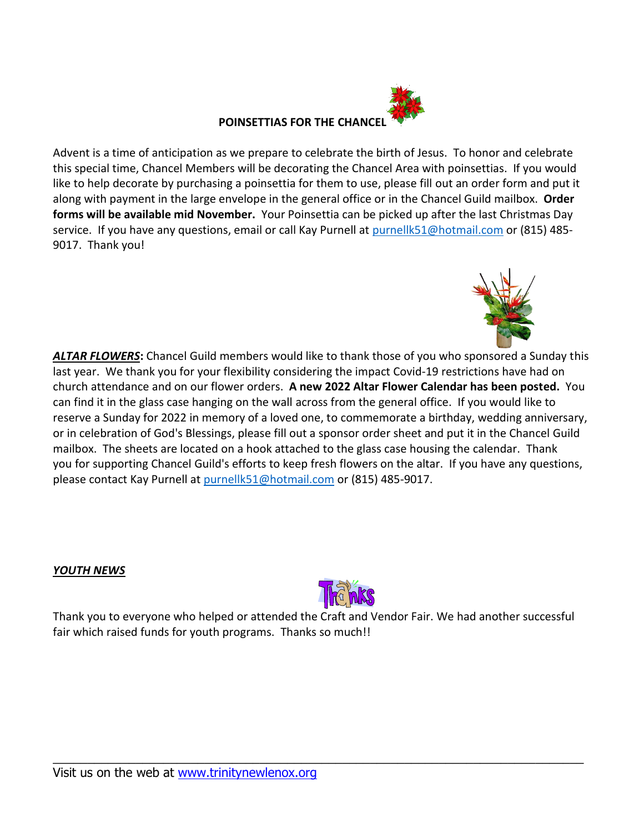

Advent is a time of anticipation as we prepare to celebrate the birth of Jesus. To honor and celebrate this special time, Chancel Members will be decorating the Chancel Area with poinsettias. If you would like to help decorate by purchasing a poinsettia for them to use, please fill out an order form and put it along with payment in the large envelope in the general office or in the Chancel Guild mailbox. **Order forms will be available mid November.** Your Poinsettia can be picked up after the last Christmas Day service. If you have any questions, email or call Kay Purnell at [purnellk51@hotmail.com](mailto:purnellk51@hotmail.com) or (815) 485-9017. Thank you!



*ALTAR FLOWERS***:** Chancel Guild members would like to thank those of you who sponsored a Sunday this last year. We thank you for your flexibility considering the impact Covid-19 restrictions have had on church attendance and on our flower orders. **A new 2022 Altar Flower Calendar has been posted.** You can find it in the glass case hanging on the wall across from the general office. If you would like to reserve a Sunday for 2022 in memory of a loved one, to commemorate a birthday, wedding anniversary, or in celebration of God's Blessings, please fill out a sponsor order sheet and put it in the Chancel Guild mailbox. The sheets are located on a hook attached to the glass case housing the calendar. Thank you for supporting Chancel Guild's efforts to keep fresh flowers on the altar. If you have any questions, please contact Kay Purnell at [purnellk51@hotmail.com](mailto:purnellk51@hotmail.com) or (815) 485-9017.

## *YOUTH NEWS*



Thank you to everyone who helped or attended the Craft and Vendor Fair. We had another successful fair which raised funds for youth programs. Thanks so much!!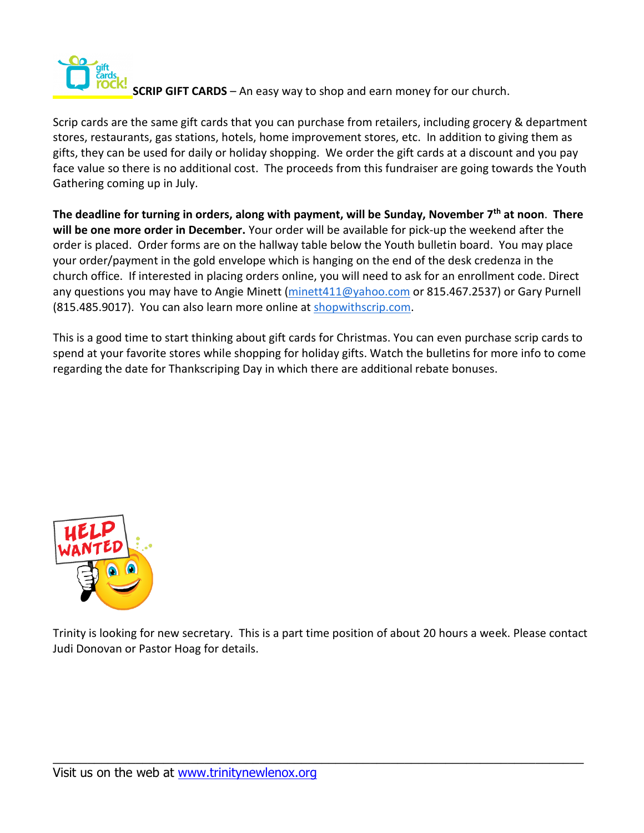

**SCRIP GIFT CARDS** – An easy way to shop and earn money for our church.

Scrip cards are the same gift cards that you can purchase from retailers, including grocery & department stores, restaurants, gas stations, hotels, home improvement stores, etc. In addition to giving them as gifts, they can be used for daily or holiday shopping. We order the gift cards at a discount and you pay face value so there is no additional cost. The proceeds from this fundraiser are going towards the Youth Gathering coming up in July.

**The deadline for turning in orders, along with payment, will be Sunday, November 7 th at noon**. **There will be one more order in December.** Your order will be available for pick-up the weekend after the order is placed. Order forms are on the hallway table below the Youth bulletin board. You may place your order/payment in the gold envelope which is hanging on the end of the desk credenza in the church office. If interested in placing orders online, you will need to ask for an enrollment code. Direct any questions you may have to Angie Minett [\(minett411@yahoo.com](mailto:minett411@yahoo.com) or 815.467.2537) or Gary Purnell (815.485.9017). You can also learn more online at [shopwithscrip.com.](http://shopwithscrip.com/)

This is a good time to start thinking about gift cards for Christmas. You can even purchase scrip cards to spend at your favorite stores while shopping for holiday gifts. Watch the bulletins for more info to come regarding the date for Thankscriping Day in which there are additional rebate bonuses.



Trinity is looking for new secretary. This is a part time position of about 20 hours a week. Please contact Judi Donovan or Pastor Hoag for details.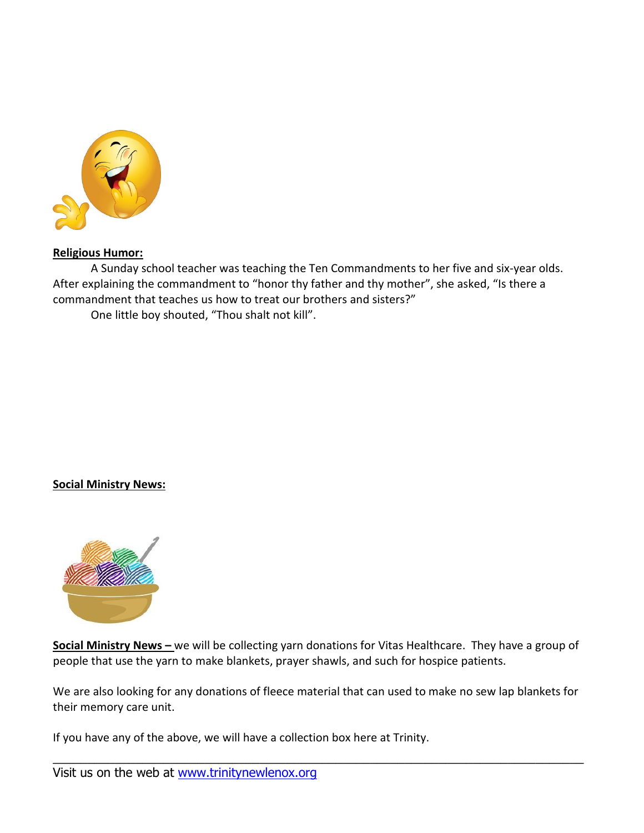

#### **Religious Humor:**

A Sunday school teacher was teaching the Ten Commandments to her five and six-year olds. After explaining the commandment to "honor thy father and thy mother", she asked, "Is there a commandment that teaches us how to treat our brothers and sisters?"

One little boy shouted, "Thou shalt not kill".

#### **Social Ministry News:**



**Social Ministry News –** we will be collecting yarn donations for Vitas Healthcare. They have a group of people that use the yarn to make blankets, prayer shawls, and such for hospice patients.

We are also looking for any donations of fleece material that can used to make no sew lap blankets for their memory care unit.

\_\_\_\_\_\_\_\_\_\_\_\_\_\_\_\_\_\_\_\_\_\_\_\_\_\_\_\_\_\_\_\_\_\_\_\_\_\_\_\_\_\_\_\_\_\_\_\_\_\_\_\_\_\_\_\_\_\_\_\_\_\_\_\_\_\_\_\_\_\_\_\_\_\_\_\_\_

If you have any of the above, we will have a collection box here at Trinity.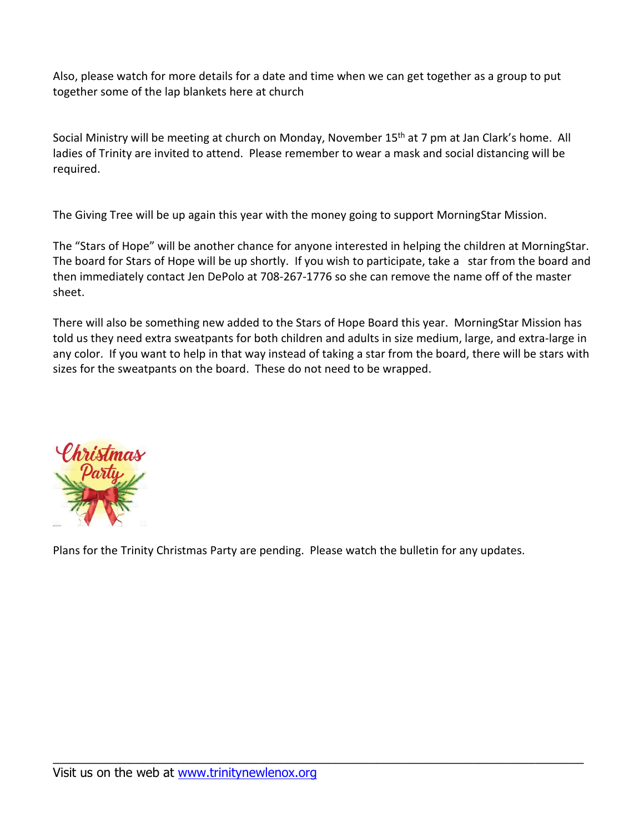Also, please watch for more details for a date and time when we can get together as a group to put together some of the lap blankets here at church

Social Ministry will be meeting at church on Monday, November 15<sup>th</sup> at 7 pm at Jan Clark's home. All ladies of Trinity are invited to attend. Please remember to wear a mask and social distancing will be required.

The Giving Tree will be up again this year with the money going to support MorningStar Mission.

The "Stars of Hope" will be another chance for anyone interested in helping the children at MorningStar. The board for Stars of Hope will be up shortly. If you wish to participate, take a star from the board and then immediately contact Jen DePolo at 708-267-1776 so she can remove the name off of the master sheet.

There will also be something new added to the Stars of Hope Board this year. MorningStar Mission has told us they need extra sweatpants for both children and adults in size medium, large, and extra-large in any color. If you want to help in that way instead of taking a star from the board, there will be stars with sizes for the sweatpants on the board. These do not need to be wrapped.



Plans for the Trinity Christmas Party are pending. Please watch the bulletin for any updates.